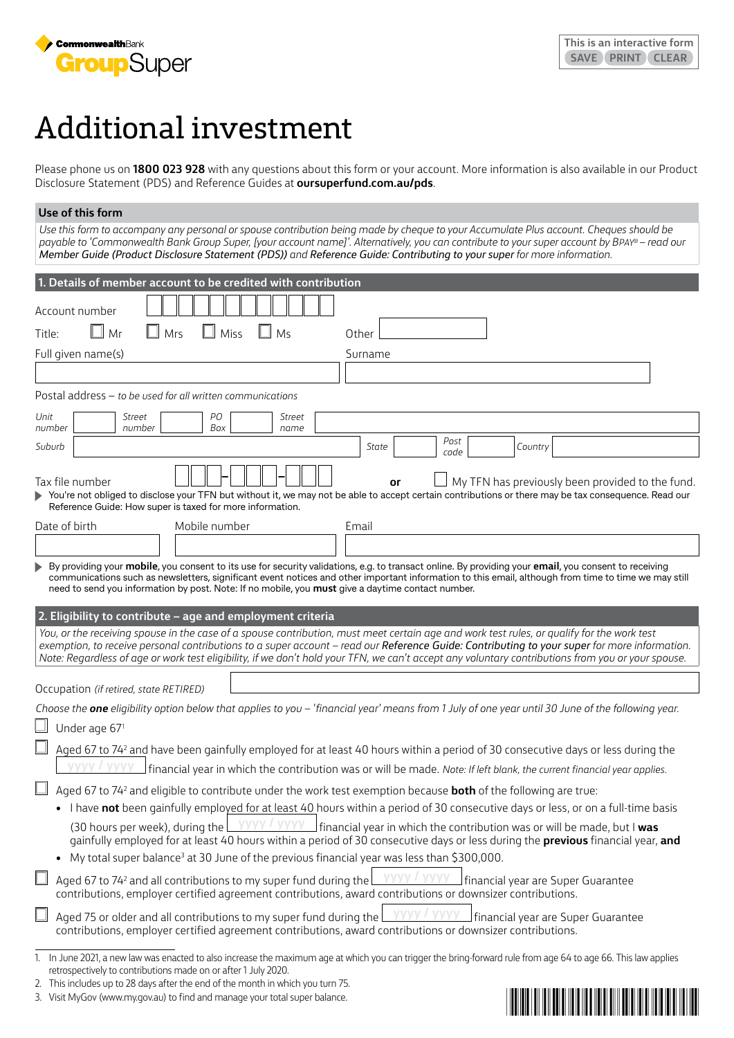

# Additional investment

Please phone us on **1800 023 928** with any questions about this form or your account. More information is also available in our Product Disclosure Statement (PDS) and Reference Guides at **[oursuperfund.com.au/pds](https://oursuperfund.com.au/pds)**.

#### **Use of this form**

*Use this form to accompany any personal or spouse contribution being made by cheque to your Accumulate Plus account. Cheques should be payable to 'Commonwealth Bank Group Super, [your account name]'. Alternatively, you can contribute to your super account by BPAY® – read our Member Guide (Product Disclosure Statement (PDS)) and Reference Guide: Contributing to your super for more information.*

| 1. Details of member account to be credited with contribution                                                                                                                                                                                                                                                                                                                                                                                                                                                 |
|---------------------------------------------------------------------------------------------------------------------------------------------------------------------------------------------------------------------------------------------------------------------------------------------------------------------------------------------------------------------------------------------------------------------------------------------------------------------------------------------------------------|
| Account number                                                                                                                                                                                                                                                                                                                                                                                                                                                                                                |
| Mr<br>Mrs<br>Miss<br>Ms<br>Title:<br>Other                                                                                                                                                                                                                                                                                                                                                                                                                                                                    |
| Full given name(s)<br>Surname                                                                                                                                                                                                                                                                                                                                                                                                                                                                                 |
|                                                                                                                                                                                                                                                                                                                                                                                                                                                                                                               |
| Postal address - to be used for all written communications                                                                                                                                                                                                                                                                                                                                                                                                                                                    |
| PO<br>Unit<br>Street<br>Street<br>Box<br>number<br>number<br>name                                                                                                                                                                                                                                                                                                                                                                                                                                             |
| Post<br>Suburb<br>State<br>Country<br>code                                                                                                                                                                                                                                                                                                                                                                                                                                                                    |
| Tax file number<br>My TFN has previously been provided to the fund.<br>or<br>You're not obliged to disclose your TFN but without it, we may not be able to accept certain contributions or there may be tax consequence. Read our<br>Reference Guide: How super is taxed for more information.                                                                                                                                                                                                                |
| Date of birth<br>Mobile number<br>Email                                                                                                                                                                                                                                                                                                                                                                                                                                                                       |
|                                                                                                                                                                                                                                                                                                                                                                                                                                                                                                               |
| 2. Eligibility to contribute - age and employment criteria<br>You, or the receiving spouse in the case of a spouse contribution, must meet certain age and work test rules, or qualify for the work test<br>exemption, to receive personal contributions to a super account - read our Reference Guide: Contributing to your super for more information.<br>Note: Regardless of age or work test eligibility, if we don't hold your TFN, we can't accept any voluntary contributions from you or your spouse. |
| Occupation (if retired, state RETIRED)                                                                                                                                                                                                                                                                                                                                                                                                                                                                        |
| Choose the <b>one</b> eligibility option below that applies to you - 'financial year' means from 1 July of one year until 30 June of the following year.                                                                                                                                                                                                                                                                                                                                                      |
| Under age 67 <sup>1</sup>                                                                                                                                                                                                                                                                                                                                                                                                                                                                                     |
| Aged 67 to 74 <sup>2</sup> and have been gainfully employed for at least 40 hours within a period of 30 consecutive days or less during the                                                                                                                                                                                                                                                                                                                                                                   |
| $\rfloor$ financial year in which the contribution was or will be made. Note: If left blank, the current financial year applies.                                                                                                                                                                                                                                                                                                                                                                              |
| Aged 67 to 74 <sup>2</sup> and eligible to contribute under the work test exemption because <b>both</b> of the following are true:                                                                                                                                                                                                                                                                                                                                                                            |
| • I have not been gainfully employed for at least 40 hours within a period of 30 consecutive days or less, or on a full-time basis                                                                                                                                                                                                                                                                                                                                                                            |
| (30 hours per week), during the $\frac{1}{2}$ $\frac{1}{2}$ $\frac{1}{2}$ financial year in which the contribution was or will be made, but I was<br>gainfully employed for at least 40 hours within a period of 30 consecutive days or less during the previous financial year, and                                                                                                                                                                                                                          |
| My total super balance <sup>3</sup> at 30 June of the previous financial year was less than \$300,000.                                                                                                                                                                                                                                                                                                                                                                                                        |
| yyyy / yyyy<br>Aged 67 to 74 <sup>2</sup> and all contributions to my super fund during the<br>financial year are Super Guarantee<br>contributions, employer certified agreement contributions, award contributions or downsizer contributions.                                                                                                                                                                                                                                                               |
| Aged 75 or older and all contributions to my super fund during the $\sqrt{\frac{y}{y}}$<br>contributions, employer certified agreement contributions, award contributions or downsizer contributions.                                                                                                                                                                                                                                                                                                         |
| 1. In June 2021, a new law was enacted to also increase the maximum age at which you can trigger the bring-forward rule from age 64 to age 66. This law applies                                                                                                                                                                                                                                                                                                                                               |

retrospectively to contributions made on or after 1 July 2020.



<sup>2.</sup> This includes up to 28 days after the end of the month in which you turn 75.

<sup>3.</sup> Visit MyGov (www.my.gov.au) to find and manage your total super balance.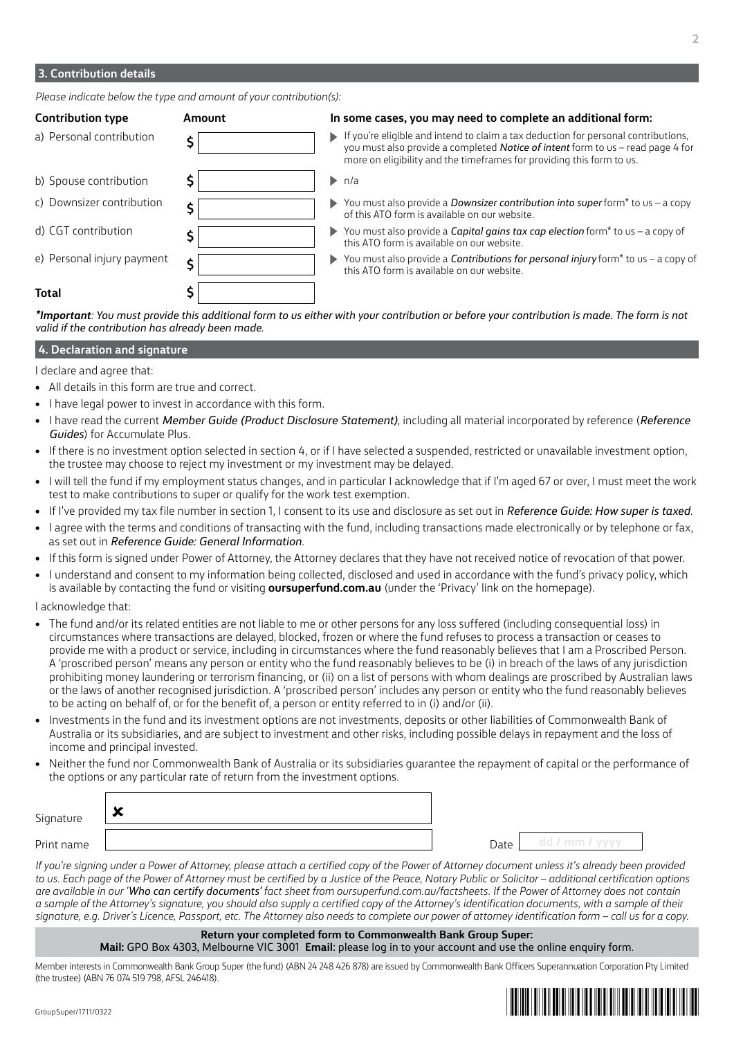### **3. Contribution details**

*Please indicate below the type and amount of your contribution(s):*

| <b>Contribution type</b>   | Amount | In some cases, you may need to complete an additional form:                                                                                                                                                                                                                 |
|----------------------------|--------|-----------------------------------------------------------------------------------------------------------------------------------------------------------------------------------------------------------------------------------------------------------------------------|
| a) Personal contribution   |        | $\blacktriangleright$ If you're eligible and intend to claim a tax deduction for personal contributions,<br>you must also provide a completed <b>Notice of intent</b> form to us - read page 4 for<br>more on eligibility and the timeframes for providing this form to us. |
| b) Spouse contribution     |        | $\blacktriangleright$ n/a                                                                                                                                                                                                                                                   |
| c) Downsizer contribution  |        | $\triangleright$ You must also provide a <i>Downsizer contribution into super</i> form <sup>*</sup> to us – a copy<br>of this ATO form is available on our website.                                                                                                         |
| d) CGT contribution        |        | $\triangleright$ You must also provide a <i>Capital gains tax cap election</i> form <sup>*</sup> to us - a copy of<br>this ATO form is available on our website.                                                                                                            |
| e) Personal injury payment |        | $\triangleright$ You must also provide a <b>Contributions for personal injury</b> form <sup>*</sup> to us – a copy of<br>this ATO form is available on our website.                                                                                                         |
| Total                      |        |                                                                                                                                                                                                                                                                             |

*\*Important: You must provide this additional form to us either with your contribution or before your contribution is made. The form is not valid if the contribution has already been made.*

#### **4. Declaration and signature**

I declare and agree that:

- All details in this form are true and correct.
- I have legal power to invest in accordance with this form.
- I have read the current *Member Guide (Product Disclosure Statement)*, including all material incorporated by reference (*Reference Guides*) for Accumulate Plus.
- If there is no investment option selected in section 4, or if I have selected a suspended, restricted or unavailable investment option, the trustee may choose to reject my investment or my investment may be delayed.
- I will tell the fund if my employment status changes, and in particular I acknowledge that if I'm aged 67 or over, I must meet the work test to make contributions to super or qualify for the work test exemption.
- If I've provided my tax file number in section 1, I consent to its use and disclosure as set out in *Reference Guide: How super is taxed*.
- I agree with the terms and conditions of transacting with the fund, including transactions made electronically or by telephone or fax, as set out in *Reference Guide: General Information*.
- If this form is signed under Power of Attorney, the Attorney declares that they have not received notice of revocation of that power.
- I understand and consent to my information being collected, disclosed and used in accordance with the fund's privacy policy, which is available by contacting the fund or visiting **[oursuperfund.com.au](https://oursuperfund.com.au)** (under the 'Privacy' link on the homepage).

I acknowledge that:

- The fund and/or its related entities are not liable to me or other persons for any loss suffered (including consequential loss) in circumstances where transactions are delayed, blocked, frozen or where the fund refuses to process a transaction or ceases to provide me with a product or service, including in circumstances where the fund reasonably believes that I am a Proscribed Person. A 'proscribed person' means any person or entity who the fund reasonably believes to be (i) in breach of the laws of any jurisdiction prohibiting money laundering or terrorism financing, or (ii) on a list of persons with whom dealings are proscribed by Australian laws or the laws of another recognised jurisdiction. A 'proscribed person' includes any person or entity who the fund reasonably believes to be acting on behalf of, or for the benefit of, a person or entity referred to in (i) and/or (ii).
- Investments in the fund and its investment options are not investments, deposits or other liabilities of Commonwealth Bank of Australia or its subsidiaries, and are subject to investment and other risks, including possible delays in repayment and the loss of income and principal invested.
- Neither the fund nor Commonwealth Bank of Australia or its subsidiaries guarantee the repayment of capital or the performance of the options or any particular rate of return from the investment options.

| Signature  | $\bullet$<br>$\ddot{\phantom{1}}$ |      |                |
|------------|-----------------------------------|------|----------------|
| Print name |                                   | Date | $^{\circ}$ mm. |

*If you're signing under a Power of Attorney, please attach a certified copy of the Power of Attorney document unless it's already been provided to us. Each page of the Power of Attorney must be certified by a Justice of the Peace, Notary Public or Solicitor – additional certification options are available in our 'Who can certify documents' fact sheet from oursuperfund.com.au/factsheets. If the Power of Attorney does not contain a sample of the Attorney's signature, you should also supply a certified copy of the Attorney's identification documents, with a sample of their signature, e.g. Driver's Licence, Passport, etc. The Attorney also needs to complete our power of attorney identification form – call us for a copy.*

#### **Return your completed form to Commonwealth Bank Group Super:**

**Mail:** GPO Box 4303, Melbourne VIC 3001 **Email**: please log in to your account and use the online enquiry form.

Member interests in Commonwealth Bank Group Super (the fund) (ABN 24 248 426 878) are issued by Commonwealth Bank Officers Superannuation Corporation Pty Limited (the trustee) (ABN 76 074 519 798, AFSL 246418).